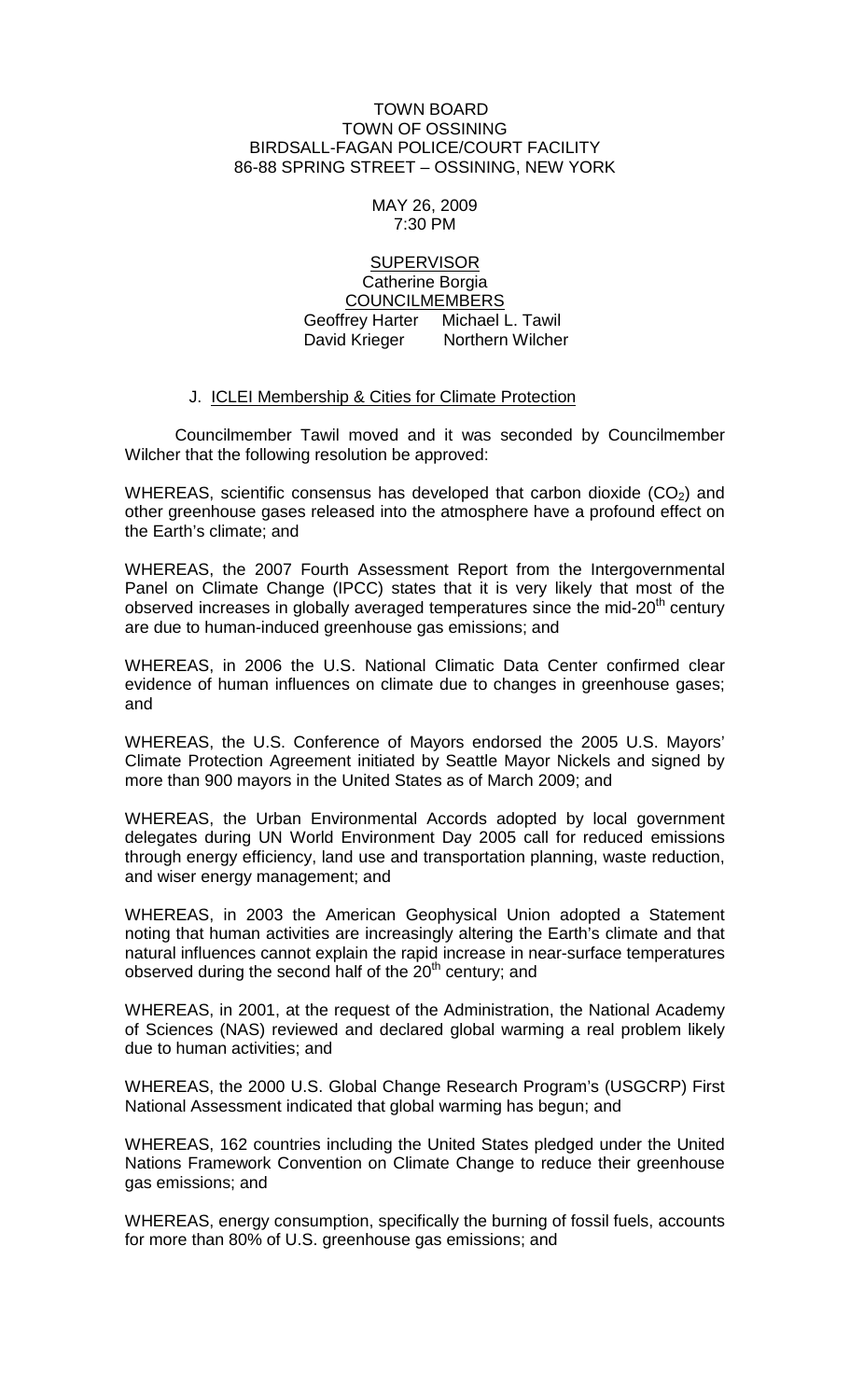## TOWN BOARD TOWN OF OSSINING BIRDSALL-FAGAN POLICE/COURT FACILITY 86-88 SPRING STREET – OSSINING, NEW YORK

## MAY 26, 2009 7:30 PM

## **SUPERVISOR** Catherine Borgia COUNCILMEMBERS

 Geoffrey Harter Michael L. Tawil David Krieger Northern Wilcher

## J. ICLEI Membership & Cities for Climate Protection

Councilmember Tawil moved and it was seconded by Councilmember Wilcher that the following resolution be approved:

WHEREAS, scientific consensus has developed that carbon dioxide  $(CO<sub>2</sub>)$  and other greenhouse gases released into the atmosphere have a profound effect on the Earth's climate; and

WHEREAS, the 2007 Fourth Assessment Report from the Intergovernmental Panel on Climate Change (IPCC) states that it is very likely that most of the observed increases in globally averaged temperatures since the mid- $20<sup>th</sup>$  century are due to human-induced greenhouse gas emissions; and

WHEREAS, in 2006 the U.S. National Climatic Data Center confirmed clear evidence of human influences on climate due to changes in greenhouse gases; and

WHEREAS, the U.S. Conference of Mayors endorsed the 2005 U.S. Mayors' Climate Protection Agreement initiated by Seattle Mayor Nickels and signed by more than 900 mayors in the United States as of March 2009; and

WHEREAS, the Urban Environmental Accords adopted by local government delegates during UN World Environment Day 2005 call for reduced emissions through energy efficiency, land use and transportation planning, waste reduction, and wiser energy management; and

WHEREAS, in 2003 the American Geophysical Union adopted a Statement noting that human activities are increasingly altering the Earth's climate and that natural influences cannot explain the rapid increase in near-surface temperatures observed during the second half of the  $20<sup>th</sup>$  century; and

WHEREAS, in 2001, at the request of the Administration, the National Academy of Sciences (NAS) reviewed and declared global warming a real problem likely due to human activities; and

WHEREAS, the 2000 U.S. Global Change Research Program's (USGCRP) First National Assessment indicated that global warming has begun; and

WHEREAS, 162 countries including the United States pledged under the United Nations Framework Convention on Climate Change to reduce their greenhouse gas emissions; and

WHEREAS, energy consumption, specifically the burning of fossil fuels, accounts for more than 80% of U.S. greenhouse gas emissions; and